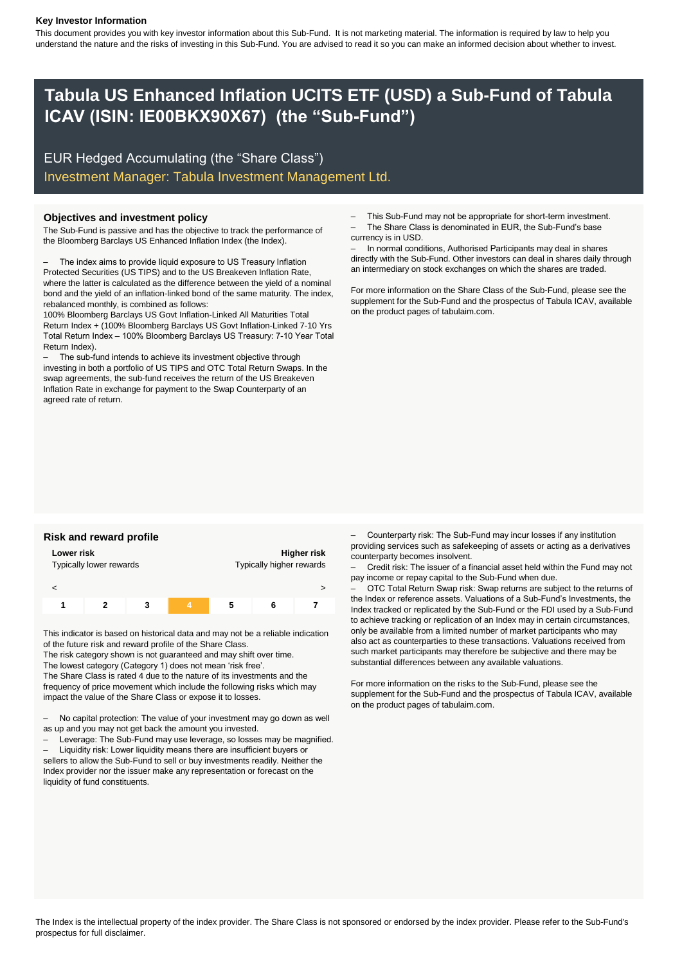### **Key Investor Information**

This document provides you with key investor information about this Sub-Fund. It is not marketing material. The information is required by law to help you understand the nature and the risks of investing in this Sub-Fund. You are advised to read it so you can make an informed decision about whether to invest.

# **Tabula US Enhanced Inflation UCITS ETF (USD) a Sub-Fund of Tabula ICAV (ISIN: IE00BKX90X67) (the "Sub-Fund")**

EUR Hedged Accumulating (the "Share Class") Investment Manager: Tabula Investment Management Ltd.

The Sub-Fund is passive and has the objective to track the performance of the Bloomberg Barclays US Enhanced Inflation Index (the Index).

The index aims to provide liquid exposure to US Treasury Inflation Protected Securities (US TIPS) and to the US Breakeven Inflation Rate, where the latter is calculated as the difference between the yield of a nominal bond and the yield of an inflation-linked bond of the same maturity. The index, rebalanced monthly, is combined as follows:

100% Bloomberg Barclays US Govt Inflation-Linked All Maturities Total Return Index + (100% Bloomberg Barclays US Govt Inflation-Linked 7-10 Yrs Total Return Index – 100% Bloomberg Barclays US Treasury: 7-10 Year Total Return Index).

– The sub-fund intends to achieve its investment objective through investing in both a portfolio of US TIPS and OTC Total Return Swaps. In the swap agreements, the sub-fund receives the return of the US Breakeven Inflation Rate in exchange for payment to the Swap Counterparty of an agreed rate of return.

**Objectives and investment policy** extended the state of the Sub-Fund may not be appropriate for short-term investment. – The Share Class is denominated in EUR, the Sub-Fund's base currency is in USD.

> – In normal conditions, Authorised Participants may deal in shares directly with the Sub-Fund. Other investors can deal in shares daily through an intermediary on stock exchanges on which the shares are traded.

> For more information on the Share Class of the Sub-Fund, please see the supplement for the Sub-Fund and the prospectus of Tabula ICAV, available on the product pages of tabulaim.com.

| Lower risk<br>Typically lower rewards |  |  |   | Higher risk<br>Typically higher rewards |  |  |
|---------------------------------------|--|--|---|-----------------------------------------|--|--|
|                                       |  |  |   |                                         |  |  |
|                                       |  |  | 4 | 5                                       |  |  |

This indicator is based on historical data and may not be a reliable indication of the future risk and reward profile of the Share Class.

The risk category shown is not guaranteed and may shift over time.

The lowest category (Category 1) does not mean 'risk free'.

The Share Class is rated 4 due to the nature of its investments and the frequency of price movement which include the following risks which may impact the value of the Share Class or expose it to losses.

– No capital protection: The value of your investment may go down as well as up and you may not get back the amount you invested.

– Leverage: The Sub-Fund may use leverage, so losses may be magnified. – Liquidity risk: Lower liquidity means there are insufficient buyers or

sellers to allow the Sub-Fund to sell or buy investments readily. Neither the Index provider nor the issuer make any representation or forecast on the liquidity of fund constituents.

Risk and reward profile **Example 2018** - Counterparty risk: The Sub-Fund may incur losses if any institution providing services such as safekeeping of assets or acting as a derivatives counterparty becomes insolvent.

> – Credit risk: The issuer of a financial asset held within the Fund may not pay income or repay capital to the Sub-Fund when due.

> – OTC Total Return Swap risk: Swap returns are subject to the returns of the Index or reference assets. Valuations of a Sub-Fund's Investments, the Index tracked or replicated by the Sub-Fund or the FDI used by a Sub-Fund to achieve tracking or replication of an Index may in certain circumstances, only be available from a limited number of market participants who may also act as counterparties to these transactions. Valuations received from such market participants may therefore be subjective and there may be substantial differences between any available valuations.

> For more information on the risks to the Sub-Fund, please see the supplement for the Sub-Fund and the prospectus of Tabula ICAV, available on the product pages of tabulaim.com.